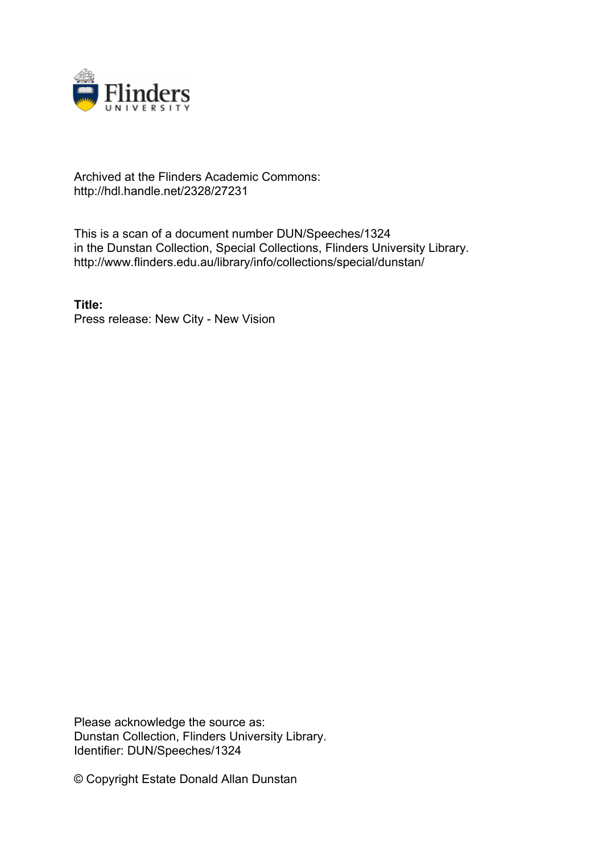

## Archived at the Flinders Academic Commons: http://hdl.handle.net/2328/27231

This is a scan of a document number DUN/Speeches/1324 in the Dunstan Collection, Special Collections, Flinders University Library. http://www.flinders.edu.au/library/info/collections/special/dunstan/

**Title:** Press release: New City - New Vision

Please acknowledge the source as: Dunstan Collection, Flinders University Library. Identifier: DUN/Speeches/1324

© Copyright Estate Donald Allan Dunstan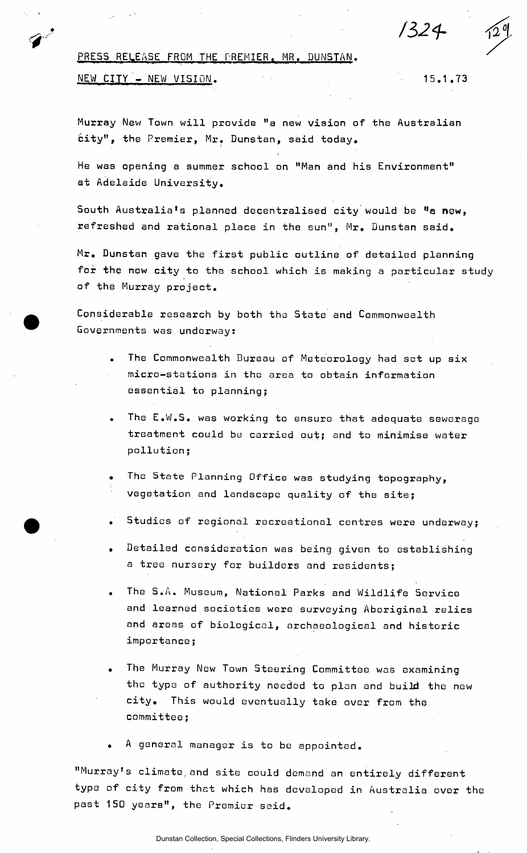*/32<h* 

## PRESS RELEASE FROM THE PREMIER. MR. DUNSTAN.

## NEW CITY - NEW VISION.

15.1.73

Murray New Town will provide "a new vision of the Australian city", the Premier, Mr. Dunstan, said today.

He was opening a summer school on "Man and his Environment" at Adelaide University.

South Australia's planned decentralised city would be "a new, refreshed and rational place in the sun", Mr. Dunstan said.

Mr. Dunstan gave the first public outline of detailed planning for the new city to the school which is making a particular study of the Murray project.

Considerable research by both the State and Commonwealth Governments was underway?

- The Commonwealth Bureau of Meteorology had set up six micro-stations in the area to obtain information essential to planning;
- The E.W.S. was working to ensure that adequate sewerage treatment could be carried out; and to minimise water pollution;
- The State Planning Office was studying topography, vegetation, and landscape quality of the site;
- . Studies of regional recreational centres were underway;
- . Detailed consideration was being given to establishing a tree nursery for builders and residents;
- . The S •A. Museum, National Parks and Wildlife Service and learned societies were surveying Aboriginal relics and areas of biological, archaeological and historic importance;
- . The Murray New Town Steering Committee was examining the type of authority needed to plan and build the new city. This would eventually take over from the committee;
- A general manager is to be appointed.

"Murray's climate.and site could demand an entirely different type of city from that which has developed in Australia over the past 150 years", the Premier said.